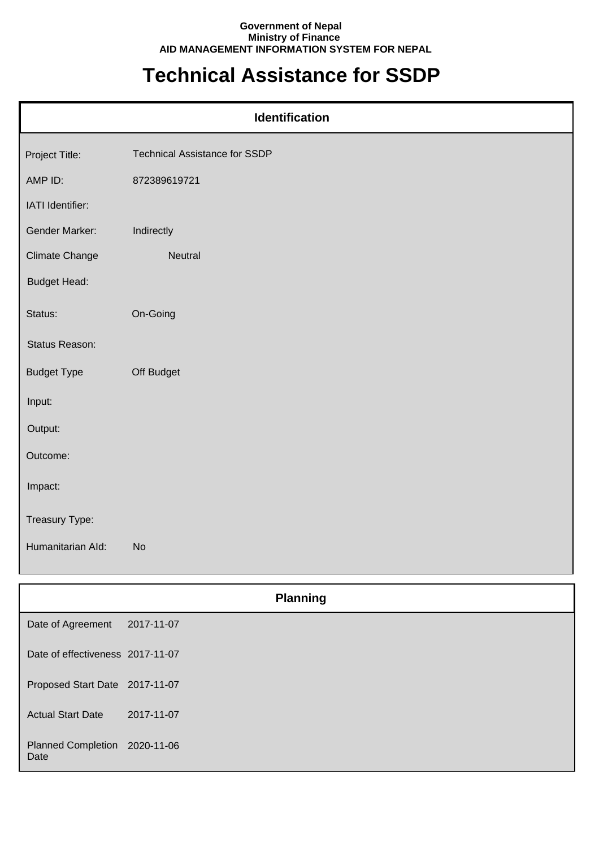## **Government of Nepal Ministry of Finance AID MANAGEMENT INFORMATION SYSTEM FOR NEPAL**

## **Technical Assistance for SSDP**

| <b>Identification</b> |                                      |  |
|-----------------------|--------------------------------------|--|
| Project Title:        | <b>Technical Assistance for SSDP</b> |  |
| AMP ID:               | 872389619721                         |  |
| IATI Identifier:      |                                      |  |
| Gender Marker:        | Indirectly                           |  |
| <b>Climate Change</b> | Neutral                              |  |
| <b>Budget Head:</b>   |                                      |  |
| Status:               | On-Going                             |  |
| Status Reason:        |                                      |  |
| <b>Budget Type</b>    | Off Budget                           |  |
| Input:                |                                      |  |
| Output:               |                                      |  |
| Outcome:              |                                      |  |
| Impact:               |                                      |  |
| Treasury Type:        |                                      |  |
| Humanitarian Ald:     | <b>No</b>                            |  |

|                                       | <b>Planning</b> |  |
|---------------------------------------|-----------------|--|
| Date of Agreement                     | 2017-11-07      |  |
| Date of effectiveness 2017-11-07      |                 |  |
| Proposed Start Date 2017-11-07        |                 |  |
| <b>Actual Start Date</b>              | 2017-11-07      |  |
| Planned Completion 2020-11-06<br>Date |                 |  |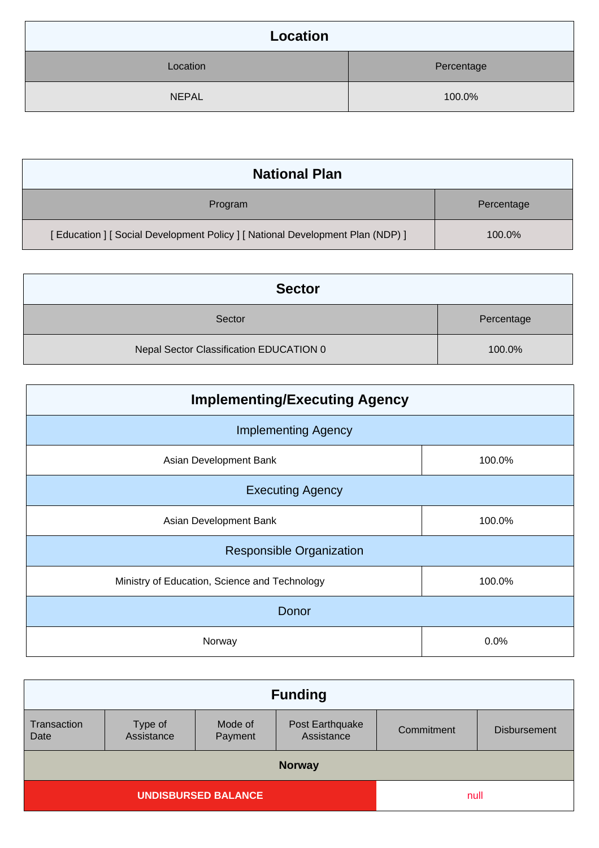| Location     |            |
|--------------|------------|
| Location     | Percentage |
| <b>NEPAL</b> | 100.0%     |

| <b>National Plan</b>                                                            |            |
|---------------------------------------------------------------------------------|------------|
| Program                                                                         | Percentage |
| [ Education ] [ Social Development Policy ] [ National Development Plan (NDP) ] | 100.0%     |

| <b>Sector</b>                           |            |
|-----------------------------------------|------------|
| Sector                                  | Percentage |
| Nepal Sector Classification EDUCATION 0 | 100.0%     |

| <b>Implementing/Executing Agency</b>          |        |  |
|-----------------------------------------------|--------|--|
| <b>Implementing Agency</b>                    |        |  |
| Asian Development Bank                        | 100.0% |  |
| <b>Executing Agency</b>                       |        |  |
| Asian Development Bank                        | 100.0% |  |
| <b>Responsible Organization</b>               |        |  |
| Ministry of Education, Science and Technology | 100.0% |  |
| Donor                                         |        |  |
| Norway                                        | 0.0%   |  |

| <b>Funding</b>                     |                       |                    |                               |            |                     |
|------------------------------------|-----------------------|--------------------|-------------------------------|------------|---------------------|
| Transaction<br>Date                | Type of<br>Assistance | Mode of<br>Payment | Post Earthquake<br>Assistance | Commitment | <b>Disbursement</b> |
| <b>Norway</b>                      |                       |                    |                               |            |                     |
| <b>UNDISBURSED BALANCE</b><br>null |                       |                    |                               |            |                     |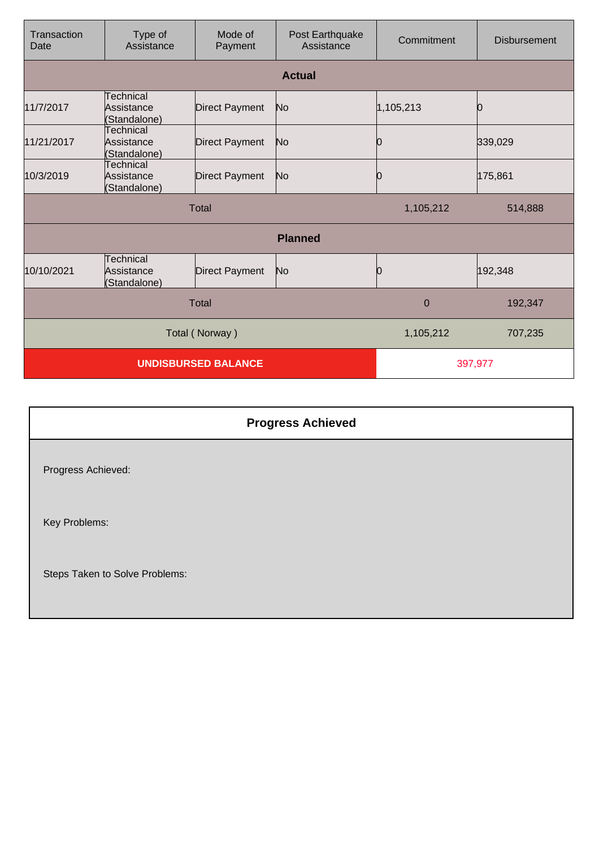| Transaction<br>Date        | Type of<br>Assistance                   | Mode of<br>Payment    | Post Earthquake<br>Assistance | Commitment | <b>Disbursement</b> |
|----------------------------|-----------------------------------------|-----------------------|-------------------------------|------------|---------------------|
|                            |                                         |                       | <b>Actual</b>                 |            |                     |
| 11/7/2017                  | Technical<br>Assistance<br>(Standalone) | <b>Direct Payment</b> | No                            | 1,105,213  |                     |
| 11/21/2017                 | Technical<br>Assistance<br>(Standalone) | <b>Direct Payment</b> | No                            | 0          | 339,029             |
| 10/3/2019                  | Technical<br>Assistance<br>(Standalone) | <b>Direct Payment</b> | No                            | 0          | 175,861             |
| Total                      |                                         |                       | 1,105,212                     | 514,888    |                     |
|                            |                                         |                       | <b>Planned</b>                |            |                     |
| 10/10/2021                 | Technical<br>Assistance<br>(Standalone) | <b>Direct Payment</b> | No                            | Ю          | 192,348             |
| <b>Total</b>               |                                         |                       | $\mathbf 0$                   | 192,347    |                     |
| Total (Norway)             |                                         |                       | 1,105,212                     | 707,235    |                     |
| <b>UNDISBURSED BALANCE</b> |                                         |                       | 397,977                       |            |                     |

|                                | <b>Progress Achieved</b> |
|--------------------------------|--------------------------|
| Progress Achieved:             |                          |
| Key Problems:                  |                          |
| Steps Taken to Solve Problems: |                          |